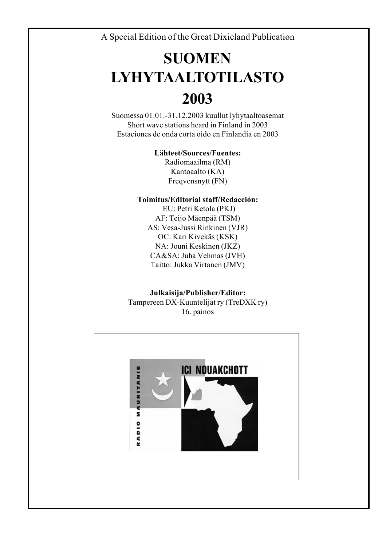A Special Edition of the Great Dixieland Publication

# **SUOMEN LYHYTAALTOTILASTO 2003**

Suomessa 01.01.-31.12.2003 kuullut lyhytaaltoasemat Short wave stations heard in Finland in 2003 Estaciones de onda corta oido en Finlandia en 2003

#### **Lähteet/Sources/Fuentes:**

Radiomaailma (RM) Kantoaalto (KA) Freqvensnytt (FN)

#### **Toimitus/Editorial staff/Redacción:**

EU: Petri Ketola (PKJ) AF: Teijo Mäenpää (TSM) AS: Vesa-Jussi Rinkinen (VJR) OC: Kari Kivekäs (KSK) NA: Jouni Keskinen (JKZ) CA&SA: Juha Vehmas (JVH) Taitto: Jukka Virtanen (JMV)

**Julkaisija/Publisher/Editor:** Tampereen DX-Kuuntelijat ry (TreDXK ry) 16. painos

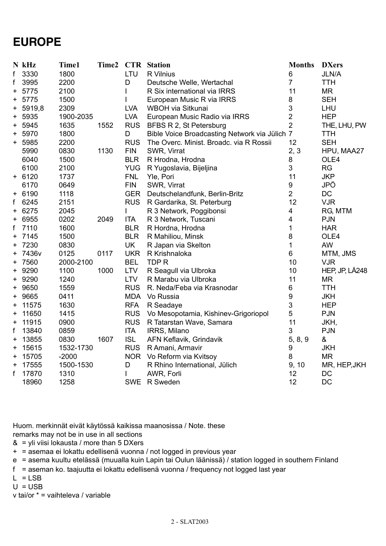### **EUROPE**

|       | N kHz    | Time1     | Time2 |            | <b>CTR</b> Station                            | <b>Months</b>           | <b>DXers</b>   |
|-------|----------|-----------|-------|------------|-----------------------------------------------|-------------------------|----------------|
| f     | 3330     | 1800      |       | LTU        | R Vilnius                                     | 6                       | <b>JLN/A</b>   |
| f     | 3995     | 2200      |       | D          | Deutsche Welle, Wertachal                     | $\overline{7}$          | <b>TTH</b>     |
| +     | 5775     | 2100      |       | L          | R Six international via IRRS                  | 11                      | <b>MR</b>      |
| +     | 5775     | 1500      |       |            | European Music R via IRRS                     | 8                       | <b>SEH</b>     |
| $\pm$ | 5919,8   | 2309      |       | <b>LVA</b> | WBOH via Sitkunai                             | 3                       | LHU            |
| $\pm$ | 5935     | 1900-2035 |       | <b>LVA</b> | European Music Radio via IRRS                 | $\overline{2}$          | <b>HEP</b>     |
| +     | 5945     | 1635      | 1552  | <b>RUS</b> | BFBS R 2, St Petersburg                       | $\overline{2}$          | THE, LHU, PW   |
| $\pm$ | 5970     | 1800      |       | D          | Bible Voice Broadcasting Network via Jülich 7 |                         | <b>TTH</b>     |
|       | + 5985   | 2200      |       | <b>RUS</b> | The Overc. Minist. Broadc. via R Rossii       | 12                      | <b>SEH</b>     |
|       | 5990     | 0830      | 1130  | <b>FIN</b> | SWR, Virrat                                   | 2, 3                    | HPU, MAA27     |
|       | 6040     | 1500      |       | <b>BLR</b> | R Hrodna, Hrodna                              | 8                       | OLE4           |
|       | 6100     | 2100      |       | <b>YUG</b> | R Yugoslavia, Bijeljina                       | 3                       | <b>RG</b>      |
|       | $+ 6120$ | 1737      |       | <b>FNL</b> | Yle, Pori                                     | 11                      | <b>JKP</b>     |
|       | 6170     | 0649      |       | <b>FIN</b> | SWR, Virrat                                   | 9                       | JPÖ            |
|       | + 6190   | 1118      |       | <b>GER</b> | Deutschelandfunk, Berlin-Britz                | $\overline{2}$          | DC             |
| f     | 6245     | 2151      |       | <b>RUS</b> | R Gardarika, St. Peterburg                    | 12                      | <b>VJR</b>     |
| +     | 6275     | 2045      |       | L          | R 3 Network, Poggibonsi                       | 4                       | RG, MTM        |
| +     | 6955     | 0202      | 2049  | <b>ITA</b> | R 3 Network, Tuscani                          | $\overline{\mathbf{4}}$ | <b>PJN</b>     |
| f     | 7110     | 1600      |       | <b>BLR</b> | R Hordna, Hrodna                              | $\mathbf{1}$            | <b>HAR</b>     |
| +     | 7145     | 1500      |       | <b>BLR</b> | R Mahiliou, Minsk                             | 8                       | OLE4           |
| $\pm$ | 7230     | 0830      |       | <b>UK</b>  | R Japan via Skelton                           | $\mathbf{1}$            | AW             |
| $\pm$ | 7436v    | 0125      | 0117  | <b>UKR</b> | R Krishnaloka                                 | 6                       | MTM, JMS       |
| $\pm$ | 7560     | 2000-2100 |       | <b>BEL</b> | TDP R                                         | 10                      | <b>VJR</b>     |
| $\pm$ | 9290     | 1100      | 1000  | <b>LTV</b> | R Seagull via Ulbroka                         | 10                      | HEP, JP, LÅ248 |
| $^+$  | 9290     | 1240      |       | <b>LTV</b> | R Marabu via Ulbroka                          | 11                      | <b>MR</b>      |
| $\pm$ | 9650     | 1559      |       | <b>RUS</b> | R. Neda/Feba via Krasnodar                    | 6                       | <b>TTH</b>     |
| +     | 9665     | 0411      |       | <b>MDA</b> | Vo Russia                                     | $\boldsymbol{9}$        | <b>JKH</b>     |
| +     | 11575    | 1630      |       | <b>RFA</b> | R Seadaye                                     | 3                       | <b>HEP</b>     |
| +     | 11650    | 1415      |       | <b>RUS</b> | Vo Mesopotamia, Kishinev-Grigoriopol          | 5                       | PJN            |
| +     | 11915    | 0900      |       | <b>RUS</b> | R Tatarstan Wave, Samara                      | 11                      | JKH,           |
| f     | 13840    | 0859      |       | <b>ITA</b> | IRRS, Milano                                  | 3                       | <b>PJN</b>     |
| +     | 13855    | 0830      | 1607  | <b>ISL</b> | AFN Keflavik, Grindavik                       | 5, 8, 9                 | &              |
| +     | 15615    | 1532-1730 |       | <b>RUS</b> | R Amani, Armavir                              | 9                       | <b>JKH</b>     |
| +     | 15705    | $-2000$   |       |            | NOR Vo Reform via Kvitsoy                     | 8                       | <b>MR</b>      |
| +     | 17555    | 1500-1530 |       | D          | R Rhino International, Jülich                 | 9, 10                   | MR, HEP, JKH   |
| f     | 17870    | 1310      |       | L          | AWR, Forli                                    | 12                      | DC             |
|       | 18960    | 1258      |       |            | SWE R Sweden                                  | 12                      | DC             |
|       |          |           |       |            |                                               |                         |                |

Huom. merkinnät eivät käytössä kaikissa maanosissa / Note. these

- remarks may not be in use in all sections
- & = yli viisi lokausta / more than 5 DXers
- + = asemaa ei lokattu edellisenä vuonna / not logged in previous year
- e = asema kuultu etelässä (muualla kuin Lapin tai Oulun läänissä) / station logged in southern Finland
- f = aseman ko. taajuutta ei lokattu edellisenä vuonna / frequency not logged last year
- $L = LSB$
- $U = USB$

v tai/or \* = vaihteleva / variable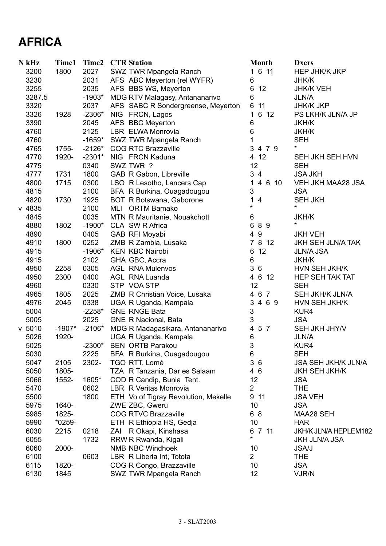# **AFRICA**

| N kHz    | Time1    | Time2    | <b>CTR</b> Station                   | <b>Month</b>                 | <b>Dxers</b>               |
|----------|----------|----------|--------------------------------------|------------------------------|----------------------------|
| 3200     | 1800     | 2027     | SWZ TWR Mpangela Ranch               | 1 6 11                       | <b>HEP JHK/K JKP</b>       |
| 3230     |          | 2031     | AFS ABC Meyerton (rel WYFR)          | 6                            | <b>JHK/K</b>               |
| 3255     |          | 2035     | AFS BBS WS, Meyerton                 | 6<br>12                      | <b>JHK/K VEH</b>           |
| 3287.5   |          | $-1903*$ | MDG RTV Malagasy, Antananarivo       | 6                            | <b>JLN/A</b>               |
| 3320     |          | 2037     | AFS SABC R Sondergreense, Meyerton   | 6<br>11                      | <b>JHK/K JKP</b>           |
| 3326     | 1928     | $-2306*$ | NIG FRCN, Lagos                      | 6 12<br>1                    | PS LKH/K JLN/A JP          |
| 3390     |          | 2045     | AFS BBC Meyerton                     | 6                            | <b>JKH/K</b>               |
| 4760     |          | 2125     | LBR ELWA Monrovia                    | 6                            | <b>JKH/K</b>               |
| 4760     |          | $-1659*$ | SWZ TWR Mpangela Ranch               | 1                            | <b>SEH</b>                 |
| 4765     | 1755-    | $-2126*$ | <b>COG RTC Brazzaville</b>           | 3<br>4 7 9                   | $^\star$                   |
| 4770     | 1920-    | $-2301*$ | NIG FRCN Kaduna                      | 4 12                         | SEH JKH SEH HVN            |
| 4775     |          | 0340     | SWZ TWR ?                            | 12                           | <b>SEH</b>                 |
| 4777     | 1731     | 1800     | GAB R Gabon, Libreville              | 34                           | <b>JSA JKH</b>             |
| 4800     | 1715     | 0300     | LSO R Lesotho, Lancers Cap           | 1<br>4 6 10                  | VEH JKH MAA28 JSA          |
| 4815     |          | 2100     | BFA R Burkina, Ouagadougou           | 3                            | <b>JSA</b>                 |
| 4820     | 1730     | 1925     | BOT R Botswana, Gaborone             | 1<br>$\overline{\mathbf{4}}$ | <b>SEH JKH</b>             |
| $v$ 4835 |          | 2100     | MLI ORTM Bamako                      | $\star$                      | $\star$                    |
| 4845     |          | 0035     | MTN R Mauritanie, Nouakchott         | 6                            | <b>JKH/K</b>               |
| 4880     | 1802     | $-1900*$ | CLA SW R Africa                      | 89<br>6                      | $\star$                    |
| 4890     |          | 0405     | GAB RFI Moyabi                       | 49                           | <b>JKH VEH</b>             |
| 4910     | 1800     | 0252     | ZMB R Zambia, Lusaka                 | $\overline{7}$<br>8 12       | <b>JKH SEH JLN/A TAK</b>   |
| 4915     |          | $-1906*$ | <b>KEN KBC Nairobi</b>               | 12<br>6                      | <b>JLN/A JSA</b>           |
| 4915     |          | 2102     | GHA GBC, Accra                       | $6\,$                        | <b>JKH/K</b>               |
| 4950     | 2258     | 0305     | <b>AGL RNA Mulenvos</b>              | 3<br>6                       | HVN SEH JKH/K              |
| 4950     | 2300     | 0400     | <b>AGL RNA Luanda</b>                | 4 6 12                       | <b>HEP SEH TAK TAT</b>     |
| 4960     |          | 0330     | STP VOA STP                          | 12                           | <b>SEH</b>                 |
| 4965     | 1805     | 2025     | ZMB R Christian Voice, Lusaka        | 4 6 7                        | SEH JKH/K JLN/A            |
| 4976     | 2045     | 0338     | UGA R Uganda, Kampala                | 3 4 6 9                      | HVN SEH JKH/K              |
| 5004     |          | $-2258*$ | <b>GNE RNGE Bata</b>                 | 3                            | KUR4                       |
| 5005     |          | 2025     | <b>GNE R Nacional, Bata</b>          | 3                            | <b>JSA</b>                 |
| v 5010   | $-1907*$ | $-2106*$ | MDG R Madagasikara, Antananarivo     | 5 7<br>4                     | SEH JKH JHY/V              |
| 5026     | 1920-    |          | UGA R Uganda, Kampala                | 6                            | <b>JLN/A</b>               |
| 5025     |          | $-2300*$ | <b>BEN ORTB Parakou</b>              | 3                            | KUR4                       |
| 5030     |          | 2225     | BFA R Burkina, Ouagadougou           | 6                            | <b>SEH</b>                 |
| 5047     | 2105     | 2302-    | TGO RTT, Lomé                        | 36                           | <b>JSA SEH JKH/K JLN/A</b> |
| 5050     | 1805-    |          | TZA R Tanzania, Dar es Salaam        | 46                           | <b>JKH SEH JKH/K</b>       |
| 5066     | 1552-    | 1605*    | COD R Candip, Bunia Tent.            | 12                           | <b>JSA</b>                 |
| 5470     |          | 0602     | LBR R Veritas Monrovia               | $\overline{2}$               | <b>THE</b>                 |
| 5500     |          | 1800     | ETH Vo of Tigray Revolution, Mekelle | 9 11                         | <b>JSA VEH</b>             |
| 5975     | 1640-    |          | ZWE ZBC, Gweru                       | 10                           | <b>JSA</b>                 |
| 5985     | 1825-    |          | <b>COG RTVC Brazzaville</b>          | 68                           | MAA28 SEH                  |
| 5990     | $*0259-$ |          | ETH R Ethiopia HS, Gedja             | 10                           | <b>HAR</b>                 |
| 6030     | 2215     | 0218     | R Okapi, Kinshasa<br>ZAI             | 6 7 11                       | JKH/K JLN/A HEPLEM182      |
| 6055     |          | 1732     | RRW R Rwanda, Kigali                 | $\star$                      | <b>JKH JLN/A JSA</b>       |
| 6060     | 2000-    |          | <b>NMB NBC Windhoek</b>              | 10                           | <b>JSA/J</b>               |
| 6100     |          | 0603     | LBR R Liberia Int, Totota            | $\overline{2}$               | <b>THE</b>                 |
| 6115     | 1820-    |          | COG R Congo, Brazzaville             | 10                           | <b>JSA</b>                 |
| 6130     | 1845     |          | SWZ TWR Mpangela Ranch               | 12                           | VJR/N                      |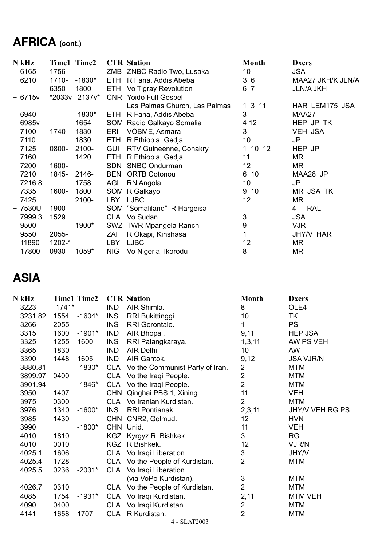# **AFRICA (cont.)**

| N kHz             |        | Time1 Time2    |            | <b>CTR</b> Station            | <b>Month</b> | <b>Dxers</b>      |
|-------------------|--------|----------------|------------|-------------------------------|--------------|-------------------|
| 6165              | 1756   |                |            | ZMB ZNBC Radio Two, Lusaka    | 10           | <b>JSA</b>        |
| 6210              | 1710-  | -1830*         |            | ETH R Fana, Addis Abeba       | 36           | MAA27 JKH/K JLN/A |
|                   | 6350   | 1800           |            | ETH Vo Tigray Revolution      | 6 7          | <b>JLN/A JKH</b>  |
| + 6715v           |        | *2033v -2137v* |            | CNR Yoido Full Gospel         |              |                   |
|                   |        |                |            | Las Palmas Church, Las Palmas | 1 3 11       | HAR LEM175 JSA    |
| 6940              |        | $-1830*$       | ETH        | R Fana, Addis Abeba           | 3            | MAA27             |
| 6985 <sub>v</sub> |        | 1654           |            | SOM Radio Galkayo Somalia     | 4 1 2        | HEP JP TK         |
| 7100              | 1740-  | 1830           | ERI        | VOBME, Asmara                 | 3            | <b>VEH JSA</b>    |
| 7110              |        | 1830           | ETH        | R Ethiopia, Gedja             | 10           | JP                |
| 7125              | 0800-  | 2100-          | <b>GUI</b> | RTV Guineenne, Conakry        | 1 10 12      | HEP JP            |
| 7160              |        | 1420           | ETH        | R Ethiopia, Gedja             | 11           | ΜR                |
| 7200              | 1600-  |                | SDN        | <b>SNBC Ondurman</b>          | 12           | ΜR                |
| 7210              | 1845-  | 2146-          | BEN        | <b>ORTB Cotonou</b>           | 6 10         | MAA28 JP          |
| 7216.8            |        | 1758           | AGL        | RN Angola                     | 10           | JP                |
| 7335              | 1600-  | 1800           |            | SOM R Galkayo                 | 9 10         | MR JSA TK         |
| 7425              |        | 2100-          |            | LBY LJBC                      | 12           | <b>MR</b>         |
| + 7530U           | 1900   |                |            | SOM "Somaliland" R Hargeisa   |              | <b>RAL</b><br>4   |
| 7999.3            | 1529   |                |            | CLA Vo Sudan                  | 3            | <b>JSA</b>        |
| 9500              |        | 1900*          |            | SWZ TWR Mpangela Ranch        | 9            | <b>VJR</b>        |
| 9550              | 2055-  |                | ZAI        | R Okapi, Kinshasa             | 1            | JHY/V HAR         |
| 11890             | 1202-* |                | <b>LBY</b> | <b>LJBC</b>                   | 12           | MR                |
| 17800             | 0930-  | 1059*          | <b>NIG</b> | Vo Nigeria, Ikorodu           | 8            | MR                |

### **ASIA**

| N kHz   |          | <b>Time1 Time2</b> |            | <b>CTR</b> Station                  | <b>Month</b>    | <b>Dxers</b>     |
|---------|----------|--------------------|------------|-------------------------------------|-----------------|------------------|
| 3223    | $-1741*$ |                    | <b>IND</b> | AIR Shimla.                         | 8               | OLE4             |
| 3231.82 | 1554     | -1604*             | <b>INS</b> | RRI Bukittinggi.                    | 10 <sup>1</sup> | TK               |
| 3266    | 2055     |                    | <b>INS</b> | RRI Gorontalo.                      | 1               | <b>PS</b>        |
| 3315    | 1600     | $-1901*$           | <b>IND</b> | AIR Bhopal.                         | 9,11            | <b>HEP JSA</b>   |
| 3325    | 1255     | 1600               | <b>INS</b> | RRI Palangkaraya.                   | 1, 3, 11        | AW PS VEH        |
| 3365    | 1830     |                    | <b>IND</b> | AIR Delhi.                          | 10 <sup>°</sup> | <b>AW</b>        |
| 3390    | 1448     | 1605               | IND        | AIR Gantok.                         | 9,12            | <b>JSA VJR/N</b> |
| 3880.81 |          | $-1830*$           |            | CLA Vo the Communist Party of Iran. | $\overline{2}$  | <b>MTM</b>       |
| 3899.97 | 0400     |                    |            | CLA Vo the Iraqi People.            | $\overline{2}$  | <b>MTM</b>       |
| 3901.94 |          | $-1846*$           |            | CLA Vo the Iraqi People.            | $\overline{2}$  | <b>MTM</b>       |
| 3950    | 1407     |                    |            | CHN Qinghai PBS 1, Xining.          | 11              | <b>VEH</b>       |
| 3975    | 0300     |                    |            | CLA Volranian Kurdistan.            | $\overline{2}$  | <b>MTM</b>       |
| 3976    | 1340     | $-1600*$           | <b>INS</b> | RRI Pontianak.                      | 2,3,11          | JHY/V VEH RG PS  |
| 3985    | 1430     |                    |            | CHN CNR2, Golmud.                   | 12              | <b>HVN</b>       |
| 3990    |          | $-1800*$           |            | CHN Unid.                           | 11              | <b>VEH</b>       |
| 4010    | 1810     |                    |            | KGZ Kyrgyz R, Bishkek.              | 3               | <b>RG</b>        |
| 4010    | 0010     |                    |            | KGZ R Bishkek.                      | 12              | VJR/N            |
| 4025.1  | 1606     |                    |            | CLA Volragi Liberation.             | 3               | <b>JHY/V</b>     |
| 4025.4  | 1728     |                    |            | CLA Vo the People of Kurdistan.     | $\overline{2}$  | <b>MTM</b>       |
| 4025.5  | 0236     | $-2031*$           |            | CLA Vo Iraqi Liberation             |                 |                  |
|         |          |                    |            | (via VoPo Kurdistan).               | 3               | <b>MTM</b>       |
| 4026.7  | 0310     |                    |            | CLA Vo the People of Kurdistan.     | $\overline{2}$  | <b>MTM</b>       |
| 4085    | 1754     | $-1931*$           |            | CLA Vo Iraqi Kurdistan.             | 2,11            | <b>MTM VEH</b>   |
| 4090    | 0400     |                    | <b>CLA</b> | Vo Iraqi Kurdistan.                 | $\overline{2}$  | <b>MTM</b>       |
| 4141    | 1658     | 1707               |            | CLA R Kurdistan.                    | $\overline{2}$  | <b>MTM</b>       |
|         |          |                    |            | 1.07.10000                          |                 |                  |

4 - SLAT2003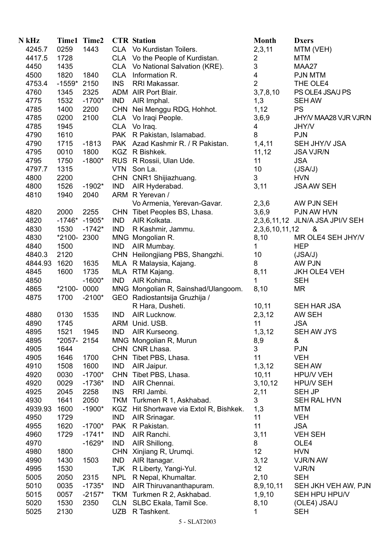| N kHz   |            | Time1 Time2     |            | <b>CTR</b> Station                      | <b>Month</b>            | <b>Dxers</b>                    |
|---------|------------|-----------------|------------|-----------------------------------------|-------------------------|---------------------------------|
| 4245.7  | 0259       | 1443            |            | CLA Vo Kurdistan Toilers.               | 2,3,11                  | MTM (VEH)                       |
| 4417.5  | 1728       |                 |            | CLA Vo the People of Kurdistan.         | $\overline{c}$          | MTM                             |
| 4450    | 1435       |                 |            | CLA Vo National Salvation (KRE).        | 3                       | MAA27                           |
| 4500    | 1820       | 1840            | <b>CLA</b> | Information R.                          | $\overline{\mathbf{4}}$ | <b>PJN MTM</b>                  |
| 4753.4  | $-1559*$   | 2150            | <b>INS</b> | RRI Makassar.                           | $\overline{2}$          | THE OLE4                        |
| 4760    | 1345       | 2325            |            | ADM AIR Port Blair.                     | 3,7,8,10                | PS OLE4 JSA/J PS                |
|         | 1532       | $-1700*$        | <b>IND</b> |                                         |                         | <b>SEH AW</b>                   |
| 4775    |            | 2200            |            | AIR Imphal.                             | 1,3                     | <b>PS</b>                       |
| 4785    | 1400       |                 |            | CHN Nei Menggu RDG, Hohhot.             | 1,12                    |                                 |
| 4785    | 0200       | 2100            |            | CLA Volragi People.                     | 3,6,9                   | JHY/V MAA28 VJR VJR/N           |
| 4785    | 1945       |                 |            | CLA Volraq.                             | 4                       | JHY/V                           |
| 4790    | 1610       |                 |            | PAK R Pakistan, Islamabad.              | 8                       | <b>PJN</b>                      |
| 4790    | 1715       | $-1813$         |            | PAK Azad Kashmir R. / R Pakistan.       | 1,4,11                  | SEH JHY/V JSA                   |
| 4795    | 0010       | 1800            |            | KGZ R Bishkek.                          | 11,12                   | <b>JSA VJR/N</b>                |
| 4795    | 1750       | $-1800*$        |            | RUS R Rossii, Ulan Ude.                 | 11                      | <b>JSA</b>                      |
| 4797.7  | 1315       |                 |            | VTN Son La.                             | 10                      | (JSA/J)                         |
| 4800    | 2200       |                 |            | CHN CNR1 Shijiazhuang.                  | $\mathfrak{S}$          | <b>HVN</b>                      |
| 4800    | 1526       | $-1902*$        | IND        | AIR Hyderabad.                          | 3,11                    | <b>JSA AW SEH</b>               |
| 4810    | 1940       | 2040            |            | ARM R Yerevan /                         |                         |                                 |
|         |            |                 |            | Vo Armenia, Yerevan-Gavar.              | 2,3,6                   | AW PJN SEH                      |
| 4820    | 2000       | 2255            |            | CHN Tibet Peoples BS, Lhasa.            | 3,6,9                   | PJN AW HVN                      |
| 4820    |            | $-1746* -1905*$ | <b>IND</b> | AIR Kolkata.                            |                         | 2,3,6,11,12 JLN/A JSA JPI/V SEH |
| 4830    | 1530       | $-1742*$        | <b>IND</b> | R Kashmir, Jammu.                       | 2, 3, 6, 10, 11, 12     | &                               |
| 4830    | *2100-2300 |                 |            | MNG Mongolian R.                        | 8,10                    | MR OLE4 SEH JHY/V               |
| 4840    | 1500       |                 | <b>IND</b> | AIR Mumbay.                             | 1                       | <b>HEP</b>                      |
| 4840.3  | 2120       |                 |            | CHN Heilongjiang PBS, Shangzhi.         | 10                      | (JSA/J)                         |
| 4844.93 | 1620       | 1635            |            | MLA R Malaysia, Kajang.                 | 8                       | AW PJN                          |
| 4845    | 1600       | 1735            |            | MLA RTM Kajang.                         | 8,11                    | <b>JKH OLE4 VEH</b>             |
| 4850    |            | $-1600*$        | <b>IND</b> | AIR Kohima.                             | 1                       | <b>SEH</b>                      |
| 4865    | *2100-0000 |                 |            | MNG Mongolian R, Sainshad/Ulangoom.     | 8,10                    | ΜR                              |
| 4875    | 1700       | $-2100*$        |            | GEO Radiostantsija Gruzhija /           |                         |                                 |
|         |            |                 |            | R Hara, Dusheti.                        | 10, 11                  | SEH HAR JSA                     |
| 4880    | 0130       | 1535            | <b>IND</b> | AIR Lucknow.                            | 2,3,12                  | AW SEH                          |
| 4890    | 1745       |                 |            | ARM Unid. USB.                          | 11                      | <b>JSA</b>                      |
| 4895    | 1521       | 1945            | <b>IND</b> | AIR Kurseong.                           | 1, 3, 12                | SEH AW JYS                      |
| 4895    | *2057-2154 |                 |            | MNG Mongolian R, Murun                  | 8,9                     | &                               |
| 4905    | 1644       |                 |            | CHN CNR Lhasa.                          | 3                       | <b>PJN</b>                      |
| 4905    | 1646       | 1700            |            | CHN Tibet PBS, Lhasa.                   | 11                      | <b>VEH</b>                      |
| 4910    | 1508       | 1600            | <b>IND</b> | AIR Jaipur.                             | 1, 3, 12                | <b>SEH AW</b>                   |
| 4920    | 0030       | $-1700*$        | <b>CHN</b> | Tibet PBS, Lhasa.                       | 10, 11                  | <b>HPU/V VEH</b>                |
| 4920    | 0029       | $-1736*$        | <b>IND</b> | AIR Chennai.                            |                         | <b>HPU/V SEH</b>                |
|         | 2045       |                 | <b>INS</b> | RRI Jambi.                              | 3, 10, 12               | <b>SEH JP</b>                   |
| 4925    |            | 2258            |            |                                         | 2,11                    |                                 |
| 4930    | 1641       | 2050            | <b>TKM</b> | Turkmen R 1, Askhabad.                  | 3                       | SEH RAL HVN                     |
| 4939.93 | 1600       | $-1900*$        |            | KGZ Hit Shortwave via Extol R, Bishkek. | 1,3                     | <b>MTM</b>                      |
| 4950    | 1729       |                 | <b>IND</b> | AIR Srinagar.                           | 11                      | <b>VEH</b>                      |
| 4955    | 1620       | $-1700*$        | <b>PAK</b> | R Pakistan.                             | 11                      | <b>JSA</b>                      |
| 4960    | 1729       | $-1741*$        | IND        | AIR Ranchi.                             | 3,11                    | <b>VEH SEH</b>                  |
| 4970    |            | $-1629*$        | IND        | AIR Shillong.                           | 8                       | OLE4                            |
| 4980    | 1800       |                 | <b>CHN</b> | Xinjiang R, Urumqi.                     | 12                      | <b>HVN</b>                      |
| 4990    | 1430       | 1503            | <b>IND</b> | AIR Itanagar.                           | 3,12                    | VJR/N AW                        |
| 4995    | 1530       |                 | TJK        | R Liberty, Yangi-Yul.                   | 12 <sub>2</sub>         | VJR/N                           |
| 5005    | 2050       | 2315            | <b>NPL</b> | R Nepal, Khumaltar.                     | 2,10                    | <b>SEH</b>                      |
| 5010    | 0035       | $-1735*$        | IND        | AIR Thiruvananthapuram.                 | 8,9,10,11               | SEH JKH VEH AW, PJN             |
| 5015    | 0057       | $-2157*$        | <b>TKM</b> | Turkmen R 2, Askhabad.                  | 1,9,10                  | SEH HPU HPU/V                   |
| 5020    | 1530       | 2350            | <b>CLN</b> | SLBC Ekala, Tamil Sce.                  | 8,10                    | (OLE4) JSA/J                    |
| 5025    | 2130       |                 |            | UZB R Tashkent.                         | 1                       | <b>SEH</b>                      |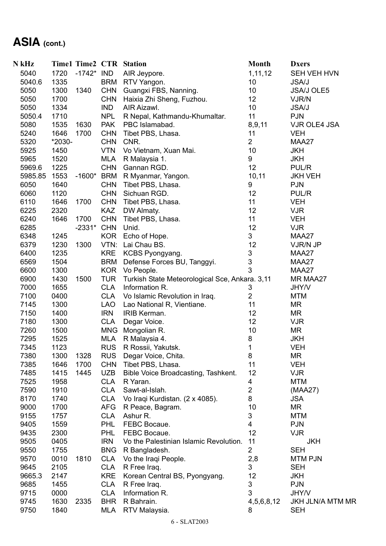# **ASIA (cont.)**

| N kHz   |        |              |            | <b>Time1 Time2 CTR Station</b>                 | <b>Month</b>        | <b>Dxers</b>            |
|---------|--------|--------------|------------|------------------------------------------------|---------------------|-------------------------|
| 5040    | 1720   | $-1742*$ IND |            | AIR Jeypore.                                   | 1,11,12             | SEH VEH HVN             |
| 5040.6  | 1335   |              | <b>BRM</b> | RTV Yangon.                                    | 10                  | <b>JSA/J</b>            |
| 5050    | 1300   | 1340         | <b>CHN</b> | Guangxi FBS, Nanning.                          | 10                  | <b>JSA/J OLE5</b>       |
| 5050    | 1700   |              | <b>CHN</b> | Haixia Zhi Sheng, Fuzhou.                      | 12                  | VJR/N                   |
| 5050    | 1334   |              | <b>IND</b> | AIR Aizawl.                                    | 10                  | <b>JSA/J</b>            |
| 5050.4  | 1710   |              | <b>NPL</b> | R Nepal, Kathmandu-Khumaltar.                  | 11                  | <b>PJN</b>              |
| 5080    | 1535   | 1630         | <b>PAK</b> | PBC Islamabad.                                 | 8,9,11              | VJR OLE4 JSA            |
| 5240    | 1646   | 1700         | <b>CHN</b> | Tibet PBS, Lhasa.                              | 11                  | <b>VEH</b>              |
| 5320    | *2030- |              | <b>CHN</b> | CNR.                                           | $\overline{2}$      | MAA27                   |
| 5925    | 1450   |              | VTN        | Vo Vietnam, Xuan Mai.                          | 10                  | <b>JKH</b>              |
| 5965    | 1520   |              | MLA        | R Malaysia 1.                                  | 9                   | <b>JKH</b>              |
| 5969.6  | 1225   |              | <b>CHN</b> | Gannan RGD.                                    | 12                  | PUL/R                   |
| 5985.85 | 1553   | $-1600*$     | BRM        | R Myanmar, Yangon.                             | 10, 11              | <b>JKH VEH</b>          |
| 6050    | 1640   |              | <b>CHN</b> | Tibet PBS, Lhasa.                              | 9                   | <b>PJN</b>              |
| 6060    | 1120   |              | <b>CHN</b> | Sichuan RGD.                                   | 12                  | PUL/R                   |
| 6110    | 1646   | 1700         | <b>CHN</b> | Tibet PBS, Lhasa.                              | 11                  | <b>VEH</b>              |
| 6225    | 2320   |              | <b>KAZ</b> | DW Almaty.                                     | 12                  | <b>VJR</b>              |
| 6240    | 1646   | 1700         | <b>CHN</b> | Tibet PBS, Lhasa.                              | 11                  | <b>VEH</b>              |
| 6285    |        | -2331* CHN   |            | Unid.                                          | 12                  | <b>VJR</b>              |
| 6348    | 1245   |              | <b>KOR</b> | Echo of Hope.                                  | 3                   | MAA27                   |
| 6379    | 1230   | 1300         | VTN:       | Lai Chau BS.                                   | 12                  | VJR/N JP                |
| 6400    | 1235   |              | <b>KRE</b> | KCBS Pyongyang.                                | 3                   | MAA27                   |
| 6569    | 1504   |              | <b>BRM</b> | Defense Forces BU, Tanggyi.                    | 3                   | MAA27                   |
| 6600    | 1300   |              | <b>KOR</b> | Vo People.                                     | 3                   | MAA27                   |
|         |        |              |            |                                                |                     |                         |
| 6900    | 1430   | 1500         | <b>TUR</b> | Turkish State Meteorological Sce, Ankara. 3,11 |                     | MR MAA27                |
| 7000    | 1655   |              | <b>CLA</b> | Information R.                                 | 3<br>$\overline{2}$ | JHY/V                   |
| 7100    | 0400   |              | <b>CLA</b> | Vo Islamic Revolution in Iraq.                 |                     | <b>MTM</b>              |
| 7145    | 1300   |              | LAO        | Lao National R, Vientiane.                     | 11                  | <b>MR</b>               |
| 7150    | 1400   |              | <b>IRN</b> | IRIB Kerman.                                   | 12                  | MR                      |
| 7180    | 1300   |              | <b>CLA</b> | Degar Voice.                                   | 12                  | <b>VJR</b>              |
| 7260    | 1500   |              | <b>MNG</b> | Mongolian R.                                   | 10                  | MR                      |
| 7295    | 1525   |              | <b>MLA</b> | R Malaysia 4.                                  | 8                   | <b>JKH</b>              |
| 7345    | 1123   |              | <b>RUS</b> | R Rossii, Yakutsk.                             | 1                   | <b>VEH</b>              |
| 7380    | 1300   | 1328         | <b>RUS</b> | Degar Voice, Chita.                            | 8                   | ΜR                      |
| 7385    | 1646   | 1700         | <b>CHN</b> | Tibet PBS, Lhasa.                              | 11                  | <b>VEH</b>              |
| 7485    | 1415   | 1445         | <b>UZB</b> | Bible Voice Broadcasting, Tashkent.            | 12                  | <b>VJR</b>              |
| 7525    | 1958   |              | <b>CLA</b> | R Yaran.                                       | 4                   | <b>MTM</b>              |
| 7590    | 1910   |              | <b>CLA</b> | Sawt-al-Islah.                                 | $\overline{2}$      | (MAA27)                 |
| 8170    | 1740   |              | <b>CLA</b> | Vo Iraqi Kurdistan. (2 x 4085).                | 8                   | <b>JSA</b>              |
| 9000    | 1700   |              | <b>AFG</b> | R Peace, Bagram.                               | 10                  | MR                      |
| 9155    | 1757   |              | <b>CLA</b> | Ashur R.                                       | 3                   | <b>MTM</b>              |
| 9405    | 1559   |              | <b>PHL</b> | FEBC Bocaue.                                   | 4                   | <b>PJN</b>              |
| 9435    | 2300   |              | <b>PHL</b> | FEBC Bocaue.                                   | 12                  | <b>VJR</b>              |
| 9505    | 0405   |              | <b>IRN</b> | Vo the Palestinian Islamic Revolution.         | 11                  | <b>JKH</b>              |
| 9550    | 1755   |              | <b>BNG</b> | R Bangladesh.                                  | $\overline{2}$      | <b>SEH</b>              |
| 9570    | 0010   | 1810         | <b>CLA</b> | Vo the Iraqi People.                           | 2,8                 | <b>MTM PJN</b>          |
| 9645    | 2105   |              | <b>CLA</b> | R Free Iraq.                                   | 3                   | <b>SEH</b>              |
| 9665.3  | 2147   |              | <b>KRE</b> | Korean Central BS, Pyongyang.                  | 12                  | <b>JKH</b>              |
| 9685    | 1455   |              | <b>CLA</b> | R Free Iraq.                                   | 3                   | <b>PJN</b>              |
| 9715    | 0000   |              | <b>CLA</b> | Information R.                                 | 3                   | JHY/V                   |
| 9745    | 1630   | 2335         | <b>BHR</b> | R Bahrain.                                     | 4,5,6,8,12          | <b>JKH JLN/A MTM MR</b> |
| 9750    | 1840   |              | MLA        | RTV Malaysia.                                  | 8                   | <b>SEH</b>              |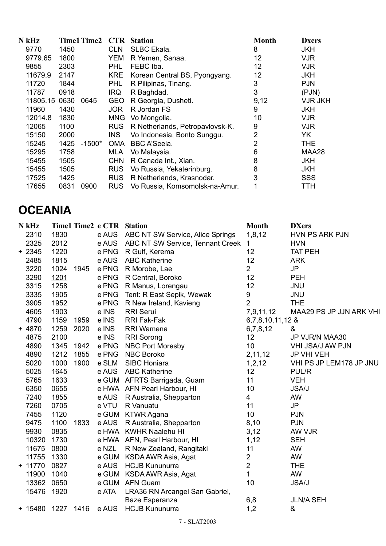| N kHz    |      | <b>Time1 Time2</b> | <b>CTR</b> | <b>Station</b>                  | <b>Month</b>   | <b>Dxers</b>   |
|----------|------|--------------------|------------|---------------------------------|----------------|----------------|
| 9770     | 1450 |                    | <b>CLN</b> | <b>SLBC Ekala.</b>              | 8              | <b>JKH</b>     |
| 9779.65  | 1800 |                    | <b>YEM</b> | R Yemen, Sanaa.                 | 12             | <b>VJR</b>     |
| 9855     | 2303 |                    | <b>PHL</b> | FEBC Iba.                       | 12             | <b>VJR</b>     |
| 11679.9  | 2147 |                    | <b>KRE</b> | Korean Central BS, Pyongyang.   | 12             | <b>JKH</b>     |
| 11720    | 1844 |                    | <b>PHL</b> | R Pilipinas, Tinang.            | 3              | <b>PJN</b>     |
| 11787    | 0918 |                    | <b>IRQ</b> | R Baghdad.                      | 3              | ( PJN)         |
| 11805.15 | 0630 | 0645               | <b>GEO</b> | R Georgia, Dusheti.             | 9,12           | <b>VJR JKH</b> |
| 11960    | 1430 |                    | <b>JOR</b> | R Jordan FS                     | 9              | <b>JKH</b>     |
| 12014.8  | 1830 |                    | <b>MNG</b> | Vo Mongolia.                    | 10             | <b>VJR</b>     |
| 12065    | 1100 |                    | <b>RUS</b> | R Netherlands, Petropavlovsk-K. | 9              | <b>VJR</b>     |
| 15150    | 2000 |                    | <b>INS</b> | Vo Indonesia, Bonto Sunggu.     | 2              | YK             |
| 15245    | 1425 | $-1500*$           | <b>OMA</b> | <b>BBC A'Seela.</b>             | $\overline{2}$ | <b>THE</b>     |
| 15295    | 1758 |                    | MLA        | Vo Malaysia.                    | 6              | MAA28          |
| 15455    | 1505 |                    | <b>CHN</b> | R Canada Int., Xian.            | 8              | <b>JKH</b>     |
| 15455    | 1505 |                    | <b>RUS</b> | Vo Russia, Yekaterinburg.       | 8              | <b>JKH</b>     |
| 17525    | 1425 |                    | <b>RUS</b> | R Netherlands, Krasnodar.       | 3              | <b>SSS</b>     |
| 17655    | 0831 | 0900               | <b>RUS</b> | Vo Russia, Komsomolsk-na-Amur.  |                | TTH            |

#### **OCEANIA**

| N kHz     |           |      | Time1 Time2 e CTR Station |                                  | <b>Month</b>     | <b>DXers</b>            |
|-----------|-----------|------|---------------------------|----------------------------------|------------------|-------------------------|
| 2310      | 1830      |      | e AUS                     | ABC NT SW Service, Alice Springs | 1,8,12           | <b>HVN PS ARK PJN</b>   |
| 2325      | 2012      |      | e AUS                     | ABC NT SW Service, Tennant Creek | 1                | <b>HVN</b>              |
| $+2345$   | 1220      |      | e PNG                     | R Gulf, Kerema                   | 12               | <b>TAT PEH</b>          |
| 2485      | 1815      |      | e AUS                     | <b>ABC Katherine</b>             | 12               | <b>ARK</b>              |
| 3220      | 1024      | 1945 |                           | e PNG R Morobe, Lae              | $\overline{2}$   | <b>JP</b>               |
| 3290      | 1201      |      | e PNG                     | R Central, Boroko                | 12               | <b>PEH</b>              |
| 3315      | 1258      |      | e PNG                     | R Manus, Lorengau                | 12               | <b>JNU</b>              |
| 3335      | 1905      |      | e PNG                     | Tent: R East Sepik, Wewak        | 9                | <b>JNU</b>              |
| 3905      | 1952      |      | e PNG                     | R New Ireland, Kavieng           | $\overline{2}$   | <b>THE</b>              |
| 4605      | 1903      |      | e INS                     | <b>RRI Serui</b>                 | 7,9,11,12        | MAA29 PS JP JJN ARK VHI |
| 4790      | 1159      | 1959 | e INS                     | RRI Fak-Fak                      | 6,7,8,10,11,12 & |                         |
| $+4870$   | 1259      | 2020 | e INS                     | RRI Wamena                       | 6,7,8,12         | &                       |
| 4875      | 2100      |      | e INS                     | <b>RRI</b> Sorong                | 12               | JP VJR/N MAA30          |
| 4890      | 1345      | 1942 | e PNG                     | <b>NBC Port Moresby</b>          | 10               | VHI JSA/J AW PJN        |
| 4890      | 1212      | 1855 | e PNG                     | <b>NBC Boroko</b>                | 2,11,12          | <b>JP VHI VEH</b>       |
| 5020      | 1000      | 1900 | e SLM                     | SIBC Honiara                     | 1,2,12           | VHI PS JP LEM178 JP JNU |
| 5025      | 1645      |      |                           | e AUS ABC Katherine              | 12               | PUL/R                   |
| 5765      | 1633      |      |                           | e GUM AFRTS Barrigada, Guam      | 11               | <b>VEH</b>              |
| 6350      | 0655      |      |                           | e HWA AFN Pearl Harbour, HI      | 10               | <b>JSA/J</b>            |
| 7240      | 1855      |      | e AUS                     | R Australia, Shepparton          | $\overline{4}$   | AW                      |
| 7260      | 0705      |      | e VTU                     | R Vanuatu                        | 11               | <b>JP</b>               |
| 7455      | 1120      |      |                           | e GUM KTWR Agana                 | 10               | <b>PJN</b>              |
| 9475      | 1100      | 1833 |                           | e AUS R Australia, Shepparton    | 8,10             | <b>PJN</b>              |
| 9930      | 0835      |      |                           | e HWA KWHR Naalehu HI            | 3,12             | AW VJR                  |
| 10320     | 1730      |      |                           | e HWA AFN, Pearl Harbour, HI     | 1,12             | <b>SEH</b>              |
| 11675     | 0800      |      |                           | e NZL R New Zealand, Rangitaki   | 11               | AW                      |
| 11755     | 1330      |      |                           | e GUM KSDA AWR Asia, Agat        | $\overline{2}$   | AW                      |
| $+ 11770$ | 0827      |      |                           | e AUS HCJB Kununurra             | $\overline{2}$   | <b>THE</b>              |
| 11900     | 1040      |      |                           | e GUM KSDA AWR Asia, Agat        | $\mathbf{1}$     | AW                      |
| 13362     | 0650      |      |                           | e GUM AFN Guam                   | 10               | <b>JSA/J</b>            |
| 15476     | 1920      |      | e ATA                     | LRA36 RN Arcangel San Gabriel,   |                  |                         |
|           |           |      |                           | Baze Esperanza                   | 6,8              | <b>JLN/A SEH</b>        |
| $+ 15480$ | 1227 1416 |      | e AUS                     | <b>HCJB Kununurra</b>            | 1,2              | &                       |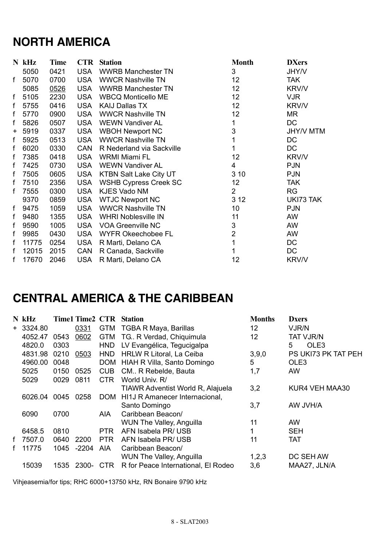### **NORTH AMERICA**

|       | $N$ kHz | <b>Time</b> | <b>CTR</b> | <b>Station</b>                | <b>Month</b>    | <b>DXers</b>     |
|-------|---------|-------------|------------|-------------------------------|-----------------|------------------|
|       | 5050    | 0421        | <b>USA</b> | <b>WWRB Manchester TN</b>     | 3               | <b>JHY/V</b>     |
| f     | 5070    | 0700        | <b>USA</b> | <b>WWCR Nashville TN</b>      | 12 <sub>2</sub> | TAK.             |
|       | 5085    | 0526        | <b>USA</b> | <b>WWRB Manchester TN</b>     | 12 <sub>2</sub> | <b>KRV/V</b>     |
| f     | 5105    | 2230        | <b>USA</b> | <b>WBCQ Monticello ME</b>     | 12 <sub>2</sub> | <b>VJR</b>       |
| f     | 5755    | 0416        | <b>USA</b> | <b>KAIJ Dallas TX</b>         | 12 <sub>2</sub> | <b>KRV/V</b>     |
| f     | 5770    | 0900        | <b>USA</b> | <b>WWCR Nashville TN</b>      | 12 <sub>2</sub> | MR               |
| f     | 5826    | 0507        | <b>USA</b> | <b>WEWN Vandiver AL</b>       | 1               | DC               |
| $\pm$ | 5919    | 0337        | <b>USA</b> | <b>WBOH Newport NC</b>        | 3               | <b>JHY/V MTM</b> |
| f     | 5925    | 0513        | <b>USA</b> | <b>WWCR Nashville TN</b>      | 1               | DC               |
| f     | 6020    | 0330        | CAN        | R Nederland via Sackville     | 1               | DC               |
| f     | 7385    | 0418        | <b>USA</b> | <b>WRMI Miami FL</b>          | 12 <sub>2</sub> | <b>KRV/V</b>     |
| f     | 7425    | 0730        | <b>USA</b> | <b>WEWN Vandiver AL</b>       | 4               | <b>PJN</b>       |
| f     | 7505    | 0605        | <b>USA</b> | <b>KTBN Salt Lake City UT</b> | 3 10            | <b>PJN</b>       |
| f     | 7510    | 2356        | <b>USA</b> | <b>WSHB Cypress Creek SC</b>  | 12 <sub>2</sub> | <b>TAK</b>       |
| f     | 7555    | 0300        | <b>USA</b> | <b>KJES Vado NM</b>           | $\overline{2}$  | <b>RG</b>        |
|       | 9370    | 0859        | <b>USA</b> | <b>WTJC Newport NC</b>        | 3 1 2           | UKI73 TAK        |
| f     | 9475    | 1059        | <b>USA</b> | <b>WWCR Nashville TN</b>      | 10              | <b>PJN</b>       |
| f     | 9480    | 1355        | <b>USA</b> | <b>WHRI Noblesville IN</b>    | 11              | AW               |
| f     | 9590    | 1005        | <b>USA</b> | <b>VOA Greenville NC</b>      | 3               | AW               |
| f     | 9985    | 0430        | <b>USA</b> | <b>WYFR Okeechobee FL</b>     | 2               | AW               |
| f     | 11775   | 0254        | <b>USA</b> | R Marti, Delano CA            | 1               | DC               |
| f     | 12015   | 2015        | CAN        | R Canada, Sackville           | 1               | DC               |
| f     | 17670   | 2046        | <b>USA</b> | R Marti, Delano CA            | 12              | <b>KRV/V</b>     |

#### **CENTRAL AMERICA & THE CARIBBEAN**

|   | N kHz      |      | <b>Time1 Time2 CTR</b> |            | <b>Station</b>                      | <b>Months</b>   | <b>Dxers</b>          |
|---|------------|------|------------------------|------------|-------------------------------------|-----------------|-----------------------|
|   | $+3324.80$ |      | 0331                   | <b>GTM</b> | TGBA R Maya, Barillas               | 12              | VJR/N                 |
|   | 4052.47    | 0543 | 0602                   | <b>GTM</b> | TG R Verdad, Chiquimula             | 12 <sub>2</sub> | <b>TAT VJR/N</b>      |
|   | 4820.0     | 0303 |                        | <b>HND</b> | LV Evangélica, Tegucigalpa          |                 | OLE <sub>3</sub><br>5 |
|   | 4831.98    | 0210 | 0503                   | <b>HND</b> | <b>HRLW R Litoral, La Ceiba</b>     | 3,9,0           | PS UKI73 PK TAT PEH   |
|   | 4960.00    | 0048 |                        | <b>DOM</b> | HIAH R Villa, Santo Domingo         | 5               | OLE <sub>3</sub>      |
|   | 5025       | 0150 | 0525                   | <b>CUB</b> | CM R Rebelde, Bauta                 | 1,7             | AW                    |
|   | 5029       | 0029 | 0811                   | CTR.       | World Univ. R/                      |                 |                       |
|   |            |      |                        |            | TIAWR Adventist World R, Alajuela   | 3,2             | KUR4 VEH MAA30        |
|   | 6026.04    | 0045 | 0258                   | <b>DOM</b> | HI1J R Amanecer Internacional,      |                 |                       |
|   |            |      |                        |            | Santo Domingo                       | 3,7             | AW JVH/A              |
|   | 6090       | 0700 |                        | AIA        | Caribbean Beacon/                   |                 |                       |
|   |            |      |                        |            | <b>WUN The Valley, Anguilla</b>     | 11              | <b>AW</b>             |
|   | 6458.5     | 0810 |                        | PTR.       | AFN Isabela PR/ USB                 |                 | <b>SEH</b>            |
| f | 7507.0     | 0640 | 2200                   | <b>PTR</b> | AFN Isabela PR/ USB                 | 11              | <b>TAT</b>            |
|   | 11775      | 1045 | -2204                  | AIA.       | Caribbean Beacon/                   |                 |                       |
|   |            |      |                        |            | <b>WUN The Valley, Anguilla</b>     | 1,2,3           | DC SEH AW             |
|   | 15039      | 1535 | 2300- CTR              |            | R for Peace International, El Rodeo | 3,6             | MAA27, JLN/A          |

Vihjeasemia/for tips; RHC 6000+13750 kHz, RN Bonaire 9790 kHz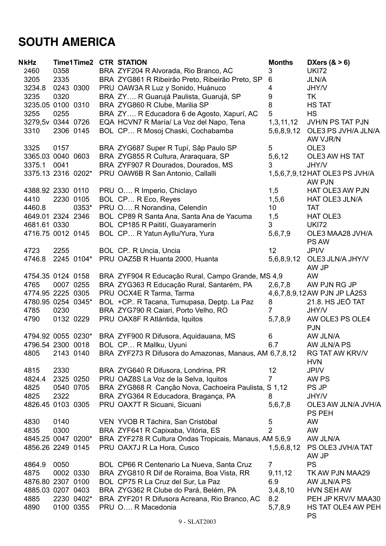## **SOUTH AMERICA**

| <b>NkHz</b>        |      | Time1Time2 | <b>CTR STATION</b>                                     | <b>Months</b>  | DXers $(8 > 6)$                            |
|--------------------|------|------------|--------------------------------------------------------|----------------|--------------------------------------------|
| 2460               | 0358 |            | BRA ZYF204 R Alvorada, Rio Branco, AC                  | 3              | <b>UKI72</b>                               |
| 3205               | 2335 |            | BRA ZYG861 R Ribeirão Preto, Ribeirão Preto, SP        | 6              | <b>JLN/A</b>                               |
| 3234.8             |      | 0243 0300  | PRU OAW3A R Luz y Sonido, Huánuco                      | 4              | <b>JHY/V</b>                               |
| 3235               | 0320 |            | BRA ZY R Guarujá Paulista, Guarujá, SP                 | 9              | TK                                         |
| 3235.05 0100 0310  |      |            | BRA ZYG860 R Clube, Marilia SP                         | 8              | <b>HS TAT</b>                              |
| 3255               | 0255 |            | BRA ZY R Educadora 6 de Agosto, Xapurí, AC             | 5              | <b>HS</b>                                  |
| 3279,5v 0344 0726  |      |            | EQA HCVN7 R María/ La Voz del Napo, Tena               | 1,3,11,12      | JVH/N PS TAT PJN                           |
| 3310               |      | 2306 0145  | BOL CP R Mosoj Chaski, Cochabamba                      |                | 5,6,8,9,12 OLE3 PS JVH/A JLN/A<br>AW VJR/N |
| 3325               | 0157 |            | BRA ZYG687 Super R Tupí, Sâp Paulo SP                  | 5              | OLE3                                       |
| 3365.03 0040 0603  |      |            | BRA ZYG855 R Cultura, Araraquara, SP                   | 5,6,12         | OLE3 AW HS TAT                             |
| 3375.1             | 0041 |            | BRA ZYF907 R Dourados, Dourados, MS                    | 3              | JHY/V                                      |
| 3375.13 2316 0202* |      |            | PRU OAW6B R San Antonio, Callalli                      |                | 1,5,6,7,9,12 HAT OLE3 PS JVH/A             |
|                    |      |            |                                                        |                | AW PJN                                     |
| 4388.92 2330 0110  |      |            | PRU O R Imperio, Chiclayo                              | 1,5            | HAT OLE3 AW PJN                            |
| 4410               |      | 2230 0105  | BOL CP R Eco, Reyes                                    | 1, 5, 6        | <b>HAT OLE3 JLN/A</b>                      |
| 4460.8             |      | 0353*      | PRU O R Norandina, Celendín                            | 10             | <b>TAT</b>                                 |
| 4649.01 2324 2346  |      |            | BOL CP89 R Santa Ana, Santa Ana de Yacuma              | 1,5            | <b>HAT OLE3</b>                            |
| 4681.61 0330       |      |            | BOL CP185 R Paitití, Guayaramerín                      | 3              | <b>UKI72</b>                               |
| 4716.75 0012 0145  |      |            | BOL CP R Yatun Ayllu/Yura, Yura                        | 5,6,7,9        | OLE3 MAA28 JVH/A<br><b>PS AW</b>           |
| 4723               | 2255 |            | BOL CP. R Uncia, Uncia                                 | 12             | JPI/V                                      |
| 4746.8             |      | 2245 0104* | PRU OAZ5B R Huanta 2000, Huanta                        | 5,6,8,9,12     | OLE3 JLN/A JHY/V<br>AW JP                  |
| 4754.35 0124 0158  |      |            | BRA ZYF904 R Educação Rural, Campo Grande, MS 4,9      |                | <b>AW</b>                                  |
| 4765               |      | 0007 0255  | BRA ZYG363 R Educação Rural, Santarém, PA              | 2,6,7,8        | AW PJN RG JP                               |
| 4774.95 2225 0305  |      |            | PRU OCX4E R Tarma, Tarma                               |                | 4,6,7,8,9,12 AW PJN JP LÅ253               |
| 4780.95 0254 0345* |      |            | BOL +CP R Tacana, Tumupasa, Deptp. La Paz              | 8              | 21.8. HS JEÖ TAT                           |
| 4785               | 0230 |            | BRA ZYG790 R Caiari, Porto Velho, RO                   | $\overline{7}$ | <b>JHY/V</b>                               |
| 4790               |      | 0132 0229  | PRU OAX8F R Atlántida, Iquitos                         | 5,7,8,9        | AW OLE3 PS OLE4                            |
|                    |      |            |                                                        |                | <b>PJN</b>                                 |
| 4794.92 0055 0230* |      |            | BRA ZYF900 R Difusora, Aquidauana, MS                  | 6              | AW JLN/A                                   |
| 4796.54 2300 0018  |      |            | BOL CP R Mallku, Uyuni                                 | 6.7            | AW JLN/A PS                                |
| 4805               |      | 2143 0140  | BRA ZYF273 R Difusora do Amazonas, Manaus, AM 6,7,8,12 |                | <b>RG TAT AW KRV/V</b>                     |
|                    |      |            |                                                        |                | <b>HVN</b>                                 |
| 4815               | 2330 |            | BRA ZYG640 R Difusora, Londrina, PR                    | 12             | <b>JPI/V</b>                               |
| 4824.4             |      | 2325 0250  | PRU OAZ8S La Voz de la Selva, Iquitos                  | $\overline{7}$ | AW PS                                      |
| 4825               |      | 0540 0705  | BRA ZYG868 R Canção Nova, Cachoeira Paulista, S 1,12   |                | PS JP                                      |
| 4825               | 2322 |            | BRA ZYG364 R Educadora, Bragança, PA                   | 8              | JHY/V                                      |
| 4826.45 0103 0305  |      |            | PRU OAX7T R Sicuani, Sicuani                           | 5,6,7,8        | OLE3 AW JLN/A JVH/A<br><b>PS PEH</b>       |
| 4830               | 0140 |            | VEN YVOB R Táchira, San Cristóbal                      | 5              | AW                                         |
| 4835               | 0300 |            | BRA ZYF641 R Capixaba, Vitória, ES                     | $\overline{2}$ | AW                                         |
| 4845.25 0047 0200* |      |            | BRA ZYF278 R Cultura Ondas Tropicais, Manaus, AM 5,6,9 |                | AW JLN/A                                   |
| 4856.26 2249 0145  |      |            | PRU OAX7J R La Hora, Cusco                             | 1,5,6,8,12     | PS OLE3 JVH/A TAT<br>AW JP                 |
| 4864.9             | 0050 |            | BOL CP66 R Centenario La Nueva, Santa Cruz             | $\overline{7}$ | <b>PS</b>                                  |
| 4875               |      | 0002 0330  | BRA ZYG810 R Dif de Roraima, Boa Vista, RR             | 9,11,12        | TK AW PJN MAA29                            |
| 4876.80 2307 0100  |      |            | BOL CP75 R La Cruz del Sur, La Paz                     | 6.9            | AW JLN/A PS                                |
| 4885.03 0207 0403  |      |            | BRA ZYG362 R Clube do Pará, Belém, PA                  | 3,4,8,10       | <b>HVN SEH AW</b>                          |
| 4885               |      | 2230 0402* | BRA ZYF201 R Difusora Acreana, Rio Branco, AC          | 8.2            | PEH JP KRV/V MAA30                         |
| 4890               |      | 0100 0355  | PRU O R Macedonia                                      | 5,7,8,9        | HS TAT OLE4 AW PEH<br><b>PS</b>            |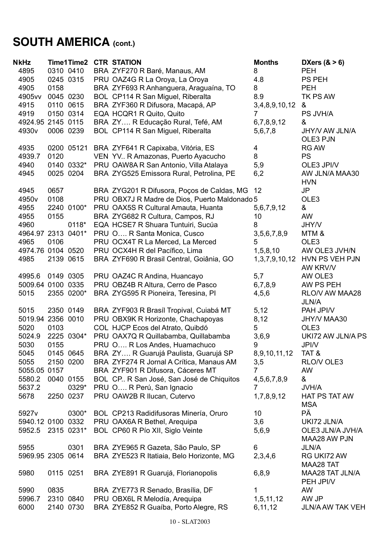# **SOUTH AMERICA (cont.)**

| <b>NkHz</b>       | Time1Time2         | <b>CTR STATION</b>                                                     | <b>Months</b>      | DXers $(8 > 6)$         |
|-------------------|--------------------|------------------------------------------------------------------------|--------------------|-------------------------|
| 4895              | 0310 0410          | BRA ZYF270 R Baré, Manaus, AM                                          | 8                  | <b>PEH</b>              |
| 4905              | 0245 0315          | PRU OAZ4G R La Oroya, La Oroya                                         | 4.8                | <b>PS PEH</b>           |
| 4905              | 0158               | BRA ZYF693 R Anhanguera, Araguaína, TO                                 | 8                  | <b>PEH</b>              |
| 4905vv            | 0045 0230          | BOL CP114 R San Miguel, Riberalta                                      | 8.9                | TK PS AW                |
| 4915              | 0110 0615          | BRA ZYF360 R Difusora, Macapá, AP                                      | 3,4,8,9,10,12      | &                       |
| 4919              | 0150 0314          | EQA HCQR1 R Quito, Quito                                               | 7                  | PS JVH/A                |
|                   | 4924.95 2145 0115  | BRA ZY R Educação Rural, Tefé, AM                                      | 6,7,8,9,12         | &                       |
| 4930 <sub>v</sub> | 0006 0239          | BOL CP114 R San Miguel, Riberalta                                      | 5,6,7,8            | JHY/V AW JLN/A          |
|                   |                    |                                                                        |                    | OLE3 PJN                |
| 4935              |                    | 0200 05121 BRA ZYF641 R Capixaba, Vitória, ES                          | 4                  | <b>RG AW</b>            |
| 4939.7            | 0120               | VEN YV R Amazonas, Puerto Ayacucho                                     | 8                  | <b>PS</b>               |
| 4940              | 0140 0332*         | PRU OAW8A R San Antonio, Villa Atalaya                                 | 5,9                | OLE3 JPI/V              |
| 4945              | 0025 0204          | BRA ZYG525 Emissora Rural, Petrolina, PE                               | 6,2                | AW JLN/A MAA30          |
|                   |                    |                                                                        |                    | <b>HVN</b>              |
| 4945              | 0657               | BRA ZYG201 R Difusora, Poços de Caldas, MG                             | 12                 | JP                      |
| 4950 <sub>v</sub> | 0108               | PRU OBX7J R Madre de Dios, Puerto Maldonado 5                          |                    | OLE3                    |
| 4955              | 2240 0100*         | PRU OAX5S R Cultural Amauta, Huanta                                    | 5,6,7,9,12         | &                       |
| 4955              | 0155               | BRA ZYG682 R Cultura, Campos, RJ                                       | 10                 | AW                      |
| 4960              | 0118*              | EQA HCSE7 R Shuara Tuntuiri, Sucúa                                     | 8                  | JHY/V                   |
|                   | 4964.97 2313 0401* | PRU O R Santa Monica, Cusco                                            | 3,5,6,7,8,9        | MTM &                   |
| 4965              | 0106               | PRU OCX4T R La Merced, La Merced                                       | 5                  | OLE <sub>3</sub>        |
|                   | 4974.76 0104 0520  | PRU OCX4H R del Pacífico, Lima                                         | 1, 5, 8, 10        | AW OLE3 JVH/N           |
| 4985              | 2139 0615          | BRA ZYF690 R Brasil Central, Goiânia, GO                               | 1, 3, 7, 9, 10, 12 | HVN PS VEH PJN          |
|                   |                    |                                                                        |                    | AW KRV/V                |
| 4995.6            | 0149 0305          | PRU OAZ4C R Andina, Huancayo                                           | 5,7                | AW OLE3                 |
|                   | 5009.64 0100 0335  | PRU OBZ4B R Altura, Cerro de Pasco                                     | 6,7,8,9            | AW PS PEH               |
| 5015              | 2355 0200*         | BRA ZYG595 R Pioneira, Teresina, PI                                    | 4,5,6              | RLO/V AW MAA28          |
|                   |                    |                                                                        |                    | <b>JLN/A</b>            |
| 5015              | 2350 0149          | BRA ZYF903 R Brasíl Tropival, Cuiabá MT                                | 5,12               | PAH JPI/V               |
|                   | 5019.94 2356 0010  | PRU OBX9K R Horizonte, Chachapoyas                                     | 8,12               | JHY/V MAA30             |
| 5020              | 0103               | COL HJCP Ecos del Atrato, Quibdó                                       | 5                  | OLE <sub>3</sub>        |
| 5024.9            | 2225 0304*         | PRU OAX7Q R Quillabamba, Quillabamba                                   | 3,6,9              | UKI72 AW JLN/A PS       |
| 5030              | 0155               | PRU O R Los Andes, Huamachuco                                          | 9                  | JPI/V                   |
| 5045              | 0145 0645          | BRA ZY R Guarujá Paulista, Guarujá SP                                  | 8,9,10,11,12       | TAT &                   |
| 5055              | 2150 0200          | BRA ZYF274 R Jornal A Crítica, Manaus AM                               | 3,5                | RLO/V OLE3              |
| 5055.05 0157      |                    | BRA ZYF901 R Difusora, Cáceres MT                                      | $\overline{7}$     | AW                      |
| 5580.2            | 0040 0155          | BOL CP. R San José, San José de Chiquitos                              | 4,5,6,7,8,9        | &                       |
| 5637.2            | 0329*              | PRU O R Perú, San Ignacio                                              | $\overline{7}$     | <b>JVH/A</b>            |
| 5678              | 2250 0237          | PRU OAW2B R Ilucan, Cutervo                                            | 1,7,8,9,12         | HAT PS TAT AW           |
|                   |                    |                                                                        |                    | <b>MSA</b>              |
| 5927 <sub>v</sub> | 0300*              | BOL CP213 Radidifusoras Minería, Oruro                                 | 10                 | PÄ                      |
|                   | 5940.12 0100 0332  | PRU OAX6A R Bethel, Arequipa                                           | 3,6                | UKI72 JLN/A             |
|                   | 5952.5 2315 0231*  | BOL CP60 R Pío XII, Siglo Veinte                                       | 5,6,9              | OLE3 JLN/A JVH/A        |
|                   |                    |                                                                        |                    | MAA28 AW PJN            |
| 5955              | 0301               | BRA ZYE965 R Gazeta, São Paulo, SP                                     | 6                  | <b>JLN/A</b>            |
|                   | 5969.95 2305 0614  | BRA ZYE523 R Itatiaia, Belo Horizonte, MG                              | 2,3,4,6            | RG UKI72 AW             |
|                   |                    |                                                                        |                    | MAA28 TAT               |
| 5980              | 0115 0251          | BRA ZYE891 R Guarujá, Florianopolis                                    | 6,8,9              | MAA28 TAT JLN/A         |
|                   |                    |                                                                        | 1                  | PEH JPI/V<br>AW         |
| 5990<br>5996.7    | 0835<br>2310 0840  | BRA ZYE773 R Senado, Brasília, DF                                      | 1,5,11,12          | AW JP                   |
| 6000              | 2140 0730          | PRU OBX6L R Melodía, Arequipa<br>BRA ZYE852 R Guaíba, Porto Alegre, RS | 6, 11, 12          | <b>JLN/A AW TAK VEH</b> |
|                   |                    |                                                                        |                    |                         |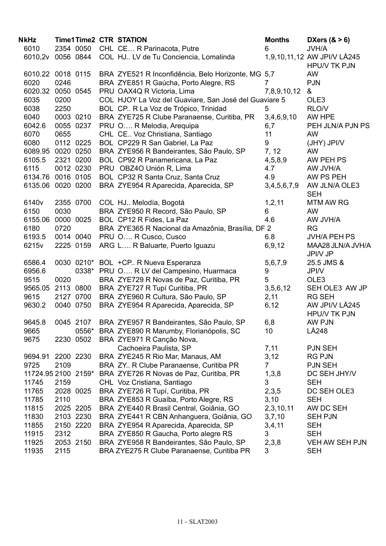| NkHz              | <b>Time1Time2 CTR STATION</b> |                                                                                  | <b>Months</b>  | DXers $(8 > 6)$                                    |
|-------------------|-------------------------------|----------------------------------------------------------------------------------|----------------|----------------------------------------------------|
| 6010              | 2354 0050                     | CHL CE R Parinacota, Putre                                                       | 6              | <b>JVH/A</b>                                       |
| 6010,2v           | 0056 0844                     | COL HJ LV de Tu Conciencia, Lomalinda                                            |                | 1,9,10,11,12 AW JPI/V LÅ245<br><b>HPU/V TK PJN</b> |
|                   | 6010.22 0018 0115             | BRA ZYE521 R Inconfidência, Belo Horizonte, MG 5,7                               |                | <b>AW</b>                                          |
| 6020              | 0246                          | BRA ZYE851 R Gaúcha, Porto Alegre, RS                                            | 7              | <b>PJN</b>                                         |
|                   | 6020.32 0050 0545             | PRU OAX4Q R Victoria, Lima                                                       | 7,8,9,10,12    | &                                                  |
| 6035              | 0200                          | COL HJOY La Voz del Guaviare, San José del Guaviare 5                            |                | OLE3                                               |
| 6038              | 2250                          | BOL CP R La Voz de Trópico, Trinidad                                             | 5              | RLO/V                                              |
| 6040              | 0003 0210                     | BRA ZYE725 R Clube Paranaense, Curitiba, PR                                      | 3,4,6,9,10     | AW HPE                                             |
| 6042.6            | 0055 0237                     | PRU O R Melodia, Arequipa                                                        | 6,7            | PEH JLN/A PJN PS                                   |
| 6070              | 0655                          | CHL CE Voz Christiana, Santiago                                                  | 11             | <b>AW</b>                                          |
| 6080              | 0112 0225                     | BOL CP229 R San Gabriel, La Paz                                                  | 9              | (JHY) JPI/V                                        |
|                   | 6089.95 0020 0250             | BRA ZYE956 R Bandeirantes, São Paulo, SP                                         | 7, 12          | <b>AW</b>                                          |
| 6105.5            | 2321 0200                     | BOL CP92 R Panamericana, La Paz                                                  | 4,5,8,9        | AW PEH PS                                          |
| 6115              | 0012 0230                     | PRU OBZ4O Unión R, Lima                                                          | 4.7            | AW JVH/A                                           |
|                   | 6134.76 0016 0105             | BOL CP32 R Santa Cruz, Santa Cruz                                                | 4.9            | AW PS PEH                                          |
|                   | 6135.06 0020 0200             | BRA ZYE954 R Aparecida, Aparecida, SP                                            | 3,4,5,6,7,9    | AW JLN/A OLE3<br><b>SEH</b>                        |
| 6140 <sub>v</sub> | 2355 0700                     | COL HJ Melodía, Bogotá                                                           | 1, 2, 11       | <b>MTM AW RG</b>                                   |
| 6150              | 0030                          | BRA ZYE950 R Record, São Paulo, SP                                               | 6              | AW                                                 |
|                   | 6155.06 0000 0025             | BOL CP12 R Fides, La Paz                                                         | 4.6            | AW JVH/A                                           |
| 6180              | 0720                          | BRA ZYE365 R Nacional da Amazônia, Brasília, DF 2                                |                | <b>RG</b>                                          |
| 6193.5            | 0014 0040                     | PRU O R Cusco, Cusco                                                             | 6.8            | <b>JVH/A PEH PS</b>                                |
| 6215v             | 2225 0159                     | ARG L R Baluarte, Puerto Iguazu                                                  | 6,9,12         | MAA28 JLN/A JVH/A<br>JPI/V JP                      |
| 6586.4            |                               | 0030 0210* BOL +CP R Nueva Esperanza                                             | 5,6,7,9        | 25.5 JMS &                                         |
| 6956.6            |                               | 0338* PRU O R LV del Campesino, Huarmaca                                         | 9              | JPI/V                                              |
| 9515              | 0020                          | BRA ZYE729 R Novas de Paz, Curitiba, PR                                          | 5              | OLE <sub>3</sub>                                   |
| 9565.05           | 2113 0800                     | BRA ZYE727 R Tupí Curitiba, PR                                                   | 3,5,6,12       | SEH OLE3 AW JP                                     |
| 9615              | 2127 0700                     | BRA ZYE960 R Cultura, São Paulo, SP                                              | 2,11           | <b>RG SEH</b>                                      |
| 9630.2            | 0040 0750                     | BRA ZYE954 R Aparecida, Aparecida, SP                                            | 6, 12          | AW JPI/V LÅ245<br><b>HPU/V TK PJN</b>              |
| 9645.8            | 0045 2107                     | BRA ZYE957 R Bandeirantes, São Paulo, SP                                         | 6,8            | AW PJN                                             |
| 9665              | 0556*                         | BRA ZYE890 R Marumby, Florianópolis, SC                                          | 10             | LÅ248                                              |
| 9675              | 2230 0502                     | BRA ZYE971 R Canção Nova,                                                        |                |                                                    |
|                   |                               | Cachoeira Paulista, SP                                                           | 7,11           | <b>PJN SEH</b>                                     |
| 9694.91           | 2200 2230                     | BRA ZYE245 R Rio Mar, Manaus, AM                                                 | 3,12           | <b>RG PJN</b>                                      |
| 9725              | 2109                          | BRA ZY R Clube Paranaense, Curitiba PR                                           | $\overline{7}$ | <b>PJN SEH</b>                                     |
|                   | 11724.95 2100 2159*           | BRA ZYE726 R Novas de Paz, Curitiba, PR                                          | 1,3,8          | DC SEH JHY/V                                       |
| 11745             | 2159                          | CHL Voz Cristiana, Santiago                                                      | 3              | <b>SEH</b>                                         |
| 11765             | 2028 0025                     | BRA ZYE726 R Tupí, Curitiba, PR                                                  | 2,3,5          | DC SEH OLE3                                        |
| 11785             | 2110                          | BRA ZYE853 R Guaíba, Porto Alegre, RS                                            | 3,10           | <b>SEH</b>                                         |
| 11815             | 2025 2205                     | BRA ZYE440 R Brasil Central, Goiânia, GO                                         | 2,3,10,11      | AW DC SEH                                          |
| 11830             | 2103 2230                     | BRA ZYE441 R CBN Anhanguera, Goiânia, GO                                         | 3,7,10         | <b>SEH PJN</b>                                     |
| 11855             | 2150 2220                     | BRA ZYE954 R Aparecida, Aparecida, SP                                            | 3,4,11         | <b>SEH</b>                                         |
| 11915<br>11925    | 2312<br>2053 2150             | BRA ZYE850 R Gaucha, Porto alegre RS<br>BRA ZYE958 R Bandeirantes, São Paulo, SP | 3<br>2,3,8     | <b>SEH</b><br>VEH AW SEH PJN                       |
| 11935             | 2115                          | BRA ZYE275 R Clube Paranaense, Curitiba PR                                       | 3              | <b>SEH</b>                                         |